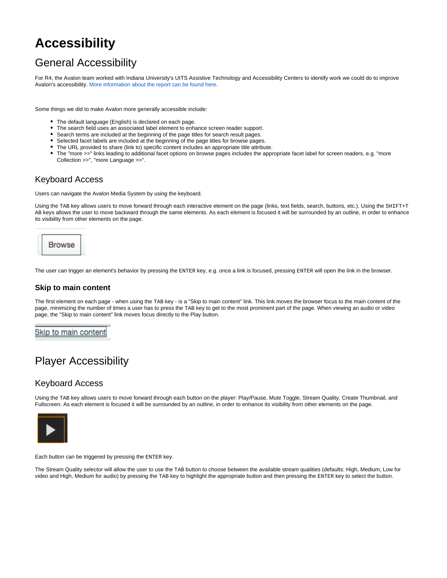# <span id="page-0-0"></span>**Accessibility**

## General Accessibility

For R4, the Avalon team worked with Indiana University's UITS Assistive Technology and Accessibility Centers to identify work we could do to improve Avalon's accessibility[. More information about the report can be found here](#page-0-0).

Some things we did to make Avalon more generally accessible include:

- The default language (English) is declared on each page.
- The search field uses an associated label element to enhance screen reader support.
- Search terms are included at the beginning of the page titles for search result pages.  $\bullet$
- Selected facet labels are included at the beginning of the page titles for browse pages.
- The URL provided to share (link to) specific content includes an appropriate title attribute.
- $\bullet$ The "more >>" links leading to additional facet options on browse pages includes the appropriate facet label for screen readers, e.g. "more Collection >>", "more Language >>".

### Keyboard Access

Users can navigate the Avalon Media System by using the keyboard.

Using the TAB key allows users to move forward through each interactive element on the page (links, text fields, search, buttons, etc.). Using the SHIFT+T AB keys allows the user to move backward through the same elements. As each element is focused it will be surrounded by an outline, in order to enhance its visibility from other elements on the page.



The user can trigger an element's behavior by pressing the ENTER key, e.g. once a link is focused, pressing ENTER will open the link in the browser.

#### **Skip to main content**

The first element on each page - when using the TAB key - is a "Skip to main content" link. This link moves the browser focus to the main content of the page, minimizing the number of times a user has to press the TAB key to get to the most prominent part of the page. When viewing an audio or video page, the "Skip to main content" link moves focus directly to the Play button.

Skip to main content

### Player Accessibility

#### Keyboard Access

Using the TAB key allows users to move forward through each button on the player: Play/Pause, Mute Toggle, Stream Quality, Create Thumbnail, and Fullscreen. As each element is focused it will be surrounded by an outline, in order to enhance its visibility from other elements on the page.



Each button can be triggered by pressing the ENTER key.

The Stream Quality selector will allow the user to use the TAB button to choose between the available stream qualities (defaults: High, Medium, Low for video and High, Medium for audio) by pressing the TAB key to highlight the appropriate button and then pressing the ENTER key to select the button.